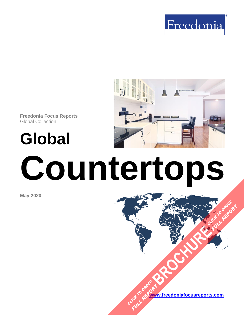



**Freedonia Focus Reports** Global Collection

**Global**

# **Countertops**

**May 2020**

**[www.freedoniafocusreports.com](https://www.freedoniafocusreports.com/redirect.asp?progid=89534&url=/)** CLICK TO ORDER **FULL REPORT** 

**[BROCHURE](https://www.freedoniafocusreports.com/Global-Countertops-FW60020/?progid=89541) CLICK TO ORDER** 

FULL REPORT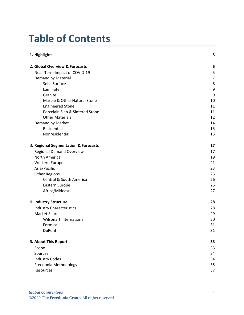# **Table of Contents**

| 1. Highlights                        |                |
|--------------------------------------|----------------|
| 2. Global Overview & Forecasts       | 5              |
| Near-Term Impact of COVID-19         | 5              |
| Demand by Material                   | $\overline{7}$ |
| Solid Surface                        | 8              |
| Laminate                             | 9              |
| Granite                              | 9              |
| Marble & Other Natural Stone         | 10             |
| <b>Engineered Stone</b>              | 11             |
| Porcelain Slab & Sintered Stone      | 11             |
| <b>Other Materials</b>               | 12             |
| Demand by Market                     | 14             |
| Residential                          | 15             |
| Nonresidential                       | 15             |
| 3. Regional Segmentation & Forecasts | 17             |
| <b>Regional Demand Overview</b>      | 17             |
| North America                        | 19             |
| Western Europe                       | 21             |
| Asia/Pacific                         | 23             |
| <b>Other Regions</b>                 | 25             |
| Central & South America              | 26             |
| Eastern Europe                       | 26             |
| Africa/Mideast                       | 27             |
| 4. Industry Structure                | 28             |
| <b>Industry Characteristics</b>      | 28             |
| <b>Market Share</b>                  | 29             |
| Wilsonart International              | 30             |
| Formica                              | 31             |
| DuPont                               | 31             |
| 5. About This Report                 | 33             |
| Scope                                | 33             |
| Sources                              | 34             |
| <b>Industry Codes</b>                | 34             |
| Freedonia Methodology                | 35             |
| Resources                            | 37             |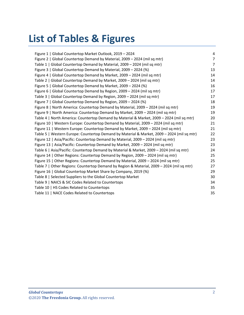# **List of Tables & Figures**

| Figure 1   Global Countertop Market Outlook, 2019 - 2024                                   | $\overline{4}$ |
|--------------------------------------------------------------------------------------------|----------------|
| Figure 2   Global Countertop Demand by Material, 2009 - 2024 (mil sq mtr)                  | $\overline{7}$ |
| Table 1   Global Countertop Demand by Material, 2009 - 2024 (mil sq mtr)                   | $\overline{7}$ |
| Figure 3   Global Countertop Demand by Material, 2009 - 2024 (%)                           | 13             |
| Figure 4   Global Countertop Demand by Market, 2009 - 2024 (mil sq mtr)                    | 14             |
| Table 2   Global Countertop Demand by Market, 2009 - 2024 (mil sq mtr)                     | 14             |
| Figure 5   Global Countertop Demand by Market, 2009 - 2024 (%)                             | 16             |
| Figure 6   Global Countertop Demand by Region, 2009 - 2024 (mil sq mtr)                    | 17             |
| Table 3   Global Countertop Demand by Region, 2009 - 2024 (mil sq mtr)                     | 17             |
| Figure 7   Global Countertop Demand by Region, 2009 - 2024 (%)                             | 18             |
| Figure 8   North America: Countertop Demand by Material, 2009 - 2024 (mil sq mtr)          | 19             |
| Figure 9   North America: Countertop Demand by Market, 2009 - 2024 (mil sq mtr)            | 19             |
| Table 4   North America: Countertop Demand by Material & Market, 2009 - 2024 (mil sq mtr)  | 20             |
| Figure 10   Western Europe: Countertop Demand by Material, 2009 - 2024 (mil sq mtr)        | 21             |
| Figure 11   Western Europe: Countertop Demand by Market, 2009 - 2024 (mil sq mtr)          | 21             |
| Table 5   Western Europe: Countertop Demand by Material & Market, 2009 - 2024 (mil sq mtr) | 22             |
| Figure 12   Asia/Pacific: Countertop Demand by Material, 2009 - 2024 (mil sq mtr)          | 23             |
| Figure 13   Asia/Pacific: Countertop Demand by Market, 2009 - 2024 (mil sq mtr)            | 23             |
| Table 6   Asia/Pacific: Countertop Demand by Material & Market, 2009 - 2024 (mil sq mtr)   | 24             |
| Figure 14   Other Regions: Countertop Demand by Region, 2009 - 2024 (mil sq mtr)           | 25             |
| Figure 15   Other Regions: Countertop Demand by Material, 2009 - 2024 (mil sq mtr)         | 25             |
| Table 7   Other Regions: Countertop Demand by Region & Material, 2009 - 2024 (mil sq mtr)  | 27             |
| Figure 16   Global Countertop Market Share by Company, 2019 (%)                            | 29             |
| Table 8   Selected Suppliers to the Global Countertop Market                               | 30             |
| Table 9   NAICS & SIC Codes Related to Countertops                                         | 34             |
| Table 10   HS Codes Related to Countertops                                                 | 35             |
| Table 11   NACE Codes Related to Countertops                                               | 35             |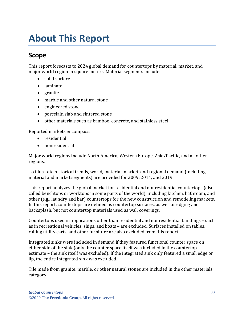# <span id="page-3-1"></span><span id="page-3-0"></span>**Scope**

This report forecasts to 2024 global demand for countertops by material, market, and major world region in square meters. Material segments include:

- solid surface
- laminate
- granite
- marble and other natural stone
- engineered stone
- porcelain slab and sintered stone
- other materials such as bamboo, concrete, and stainless steel

Reported markets encompass:

- residential
- nonresidential

Major world regions include North America, Western Europe, Asia/Pacific, and all other regions.

To illustrate historical trends, world, material, market, and regional demand (including material and market segments) are provided for 2009, 2014, and 2019.

This report analyzes the global market for residential and nonresidential countertops (also called benchtops or worktops in some parts of the world), including kitchen, bathroom, and other (e.g., laundry and bar) countertops for the new construction and remodeling markets. In this report, countertops are defined as countertop surfaces, as well as edging and backsplash, but not countertop materials used as wall coverings.

Countertops used in applications other than residential and nonresidential buildings – such as in recreational vehicles, ships, and boats – are excluded. Surfaces installed on tables, rolling utility carts, and other furniture are also excluded from this report.

Integrated sinks were included in demand if they featured functional counter space on either side of the sink (only the counter space itself was included in the countertop estimate – the sink itself was excluded). If the integrated sink only featured a small edge or lip, the entire integrated sink was excluded.

Tile made from granite, marble, or other natural stones are included in the other materials category.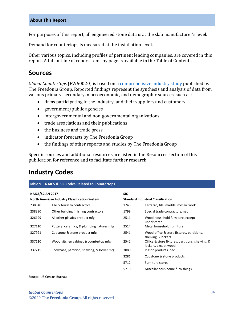For purposes of this report, all engineered stone data is at the slab manufacturer's level.

Demand for countertops is measured at the installation level.

Other various topics, including profiles of pertinent leading companies, are covered in this report. A full outline of report items by page is available in the Table of Contents.

## <span id="page-4-0"></span>**Sources**

*Global Countertops* (FW60020) is based on [a comprehensive industry study](http://www.freedoniagroup.com/DocumentDetails.aspx?ReferrerId=FL-FOCUS&studyid=3836) published by The Freedonia Group. Reported findings represent the synthesis and analysis of data from various primary, secondary, macroeconomic, and demographic sources, such as:

- firms participating in the industry, and their suppliers and customers
- government/public agencies
- intergovernmental and non-governmental organizations
- trade associations and their publications
- the business and trade press
- indicator forecasts by The Freedonia Group
- the findings of other reports and studies by The Freedonia Group

Specific sources and additional resources are listed in the Resources section of this publication for reference and to facilitate further research.

# <span id="page-4-1"></span>**Industry Codes**

<span id="page-4-2"></span>

| <b>NAICS/SCIAN 2017</b>                       |                                             | <b>SIC</b>                                |                                                                          |  |
|-----------------------------------------------|---------------------------------------------|-------------------------------------------|--------------------------------------------------------------------------|--|
| North American Industry Classification System |                                             | <b>Standard Industrial Classification</b> |                                                                          |  |
| 238340                                        | Tile & terrazzo contractors                 | 1743                                      | Terrazzo, tile, marble, mosaic work                                      |  |
| 238390                                        | Other building finishing contractors        | 1799                                      | Special trade contractors, nec                                           |  |
| 326199                                        | All other plastics product mfg              | 2511                                      | Wood household furniture, except<br>upholstered                          |  |
| 327110                                        | Pottery, ceramics, & plumbing fixtures mfg  | 2514                                      | Metal household furniture                                                |  |
| 327991                                        | Cut stone & stone product mfg               | 2541                                      | Wood office & store fixtures, partitions,<br>shelving & lockers          |  |
| 337110                                        | Wood kitchen cabinet & countertop mfg       | 2542                                      | Office & store fixtures, partitions, shelving, &<br>lockers, except wood |  |
| 337215                                        | Showcase, partition, shelving, & locker mfg | 3089                                      | Plastic products, nec                                                    |  |
|                                               |                                             | 3281                                      | Cut stone & stone products                                               |  |
|                                               |                                             | 5712                                      | <b>Furniture stores</b>                                                  |  |
|                                               |                                             | 5719                                      | Miscellaneous home furnishings                                           |  |
|                                               |                                             |                                           |                                                                          |  |

Source: US Census Bureau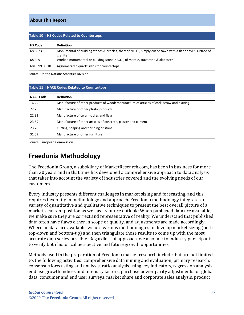<span id="page-5-1"></span>

| Table 10   HS Codes Related to Countertops |                                                                                                                       |  |  |  |
|--------------------------------------------|-----------------------------------------------------------------------------------------------------------------------|--|--|--|
| <b>HS Code</b>                             | <b>Definition</b>                                                                                                     |  |  |  |
| 6802.23                                    | Monumental of building stones & articles, thereof NESOI, simply cut or sawn with a flat or even surface of<br>granite |  |  |  |
| 6802.91                                    | Worked monumental or building stone NESOI, of marble, travertine & alabaster                                          |  |  |  |
| 6810.99.00.10                              | Agglomerated quartz slabs for countertops                                                                             |  |  |  |

Source: United Nations Statistics Division

#### <span id="page-5-2"></span>**Table 11 | NACE Codes Related to Countertops**

| <b>NACE Code</b> | <b>Definition</b>                                                                          |
|------------------|--------------------------------------------------------------------------------------------|
| 16.29            | Manufacture of other products of wood; manufacture of articles of cork, straw and plaiting |
| 22.29            | Manufacture of other plastic products                                                      |
| 22.31            | Manufacture of ceramic tiles and flags                                                     |
| 23.69            | Manufacture of other articles of concrete, plaster and cement                              |
| 23.70            | Cutting, shaping and finishing of stone                                                    |
| 31.09            | Manufacture of other furniture                                                             |

Source: European Commission

# <span id="page-5-0"></span>**Freedonia Methodology**

The Freedonia Group, a subsidiary of MarketResearch.com, has been in business for more than 30 years and in that time has developed a comprehensive approach to data analysis that takes into account the variety of industries covered and the evolving needs of our customers.

Every industry presents different challenges in market sizing and forecasting, and this requires flexibility in methodology and approach. Freedonia methodology integrates a variety of quantitative and qualitative techniques to present the best overall picture of a market's current position as well as its future outlook: When published data are available, we make sure they are correct and representative of reality. We understand that published data often have flaws either in scope or quality, and adjustments are made accordingly. Where no data are available, we use various methodologies to develop market sizing (both top-down and bottom-up) and then triangulate those results to come up with the most accurate data series possible. Regardless of approach, we also talk to industry participants to verify both historical perspective and future growth opportunities.

Methods used in the preparation of Freedonia market research include, but are not limited to, the following activities: comprehensive data mining and evaluation, primary research, consensus forecasting and analysis, ratio analysis using key indicators, regression analysis, end use growth indices and intensity factors, purchase power parity adjustments for global data, consumer and end user surveys, market share and corporate sales analysis, product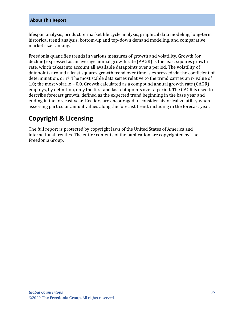lifespan analysis, product or market life cycle analysis, graphical data modeling, long-term historical trend analysis, bottom-up and top-down demand modeling, and comparative market size ranking.

Freedonia quantifies trends in various measures of growth and volatility. Growth (or decline) expressed as an average annual growth rate (AAGR) is the least squares growth rate, which takes into account all available datapoints over a period. The volatility of datapoints around a least squares growth trend over time is expressed via the coefficient of determination, or  $r^2$ . The most stable data series relative to the trend carries an  $r^2$  value of 1.0; the most volatile – 0.0. Growth calculated as a compound annual growth rate (CAGR) employs, by definition, only the first and last datapoints over a period. The CAGR is used to describe forecast growth, defined as the expected trend beginning in the base year and ending in the forecast year. Readers are encouraged to consider historical volatility when assessing particular annual values along the forecast trend, including in the forecast year.

# **Copyright & Licensing**

The full report is protected by copyright laws of the United States of America and international treaties. The entire contents of the publication are copyrighted by The Freedonia Group.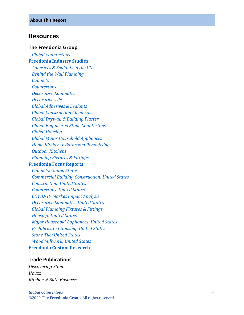## <span id="page-7-0"></span>**Resources**

#### **The Freedonia Group**

 *[Global Countertops](http://www.freedoniagroup.com/DocumentDetails.aspx?ReferrerId=FL-FOCUS&studyid=3836)* **[Freedonia Industry Studies](http://www.freedoniagroup.com/Home.aspx?ReferrerId=FL-Focus)**  *[Adhesives & Sealants in the US](http://www.freedoniagroup.com/DocumentDetails.aspx?ReferrerId=FL-FOCUS&studyid=3623) [Behind the Wall Plumbing](http://www.freedoniagroup.com/DocumentDetails.aspx?ReferrerId=FL-FOCUS&studyid=3642) [Cabinets](http://www.freedoniagroup.com/DocumentDetails.aspx?ReferrerId=FL-FOCUS&studyid=3772) [Countertops](http://www.freedoniagroup.com/DocumentDetails.aspx?ReferrerId=FL-FOCUS&studyid=3799) [Decorative Laminates](http://www.freedoniagroup.com/DocumentDetails.aspx?ReferrerId=FL-FOCUS&studyid=3662) [Decorative Tile](http://www.freedoniagroup.com/DocumentDetails.aspx?ReferrerId=FL-FOCUS&studyid=3697) [Global Adhesives & Sealants](http://www.freedoniagroup.com/DocumentDetails.aspx?ReferrerId=FL-FOCUS&studyid=3715) [Global Construction Chemicals](http://www.freedoniagroup.com/DocumentDetails.aspx?ReferrerId=FL-FOCUS&studyid=3769) [Global Drywall & Building Plaster](http://www.freedoniagroup.com/DocumentDetails.aspx?ReferrerId=FL-FOCUS&studyid=3768) [Global Engineered Stone Countertops](http://www.freedoniagroup.com/DocumentDetails.aspx?ReferrerId=FL-FOCUS&studyid=3813) [Global Housing](http://www.freedoniagroup.com/DocumentDetails.aspx?ReferrerId=FL-FOCUS&studyid=3752) Global Major [Household Appliances](http://www.freedoniagroup.com/DocumentDetails.aspx?ReferrerId=FL-FOCUS&studyid=3739) [Home Kitchen & Bathroom Remodeling](http://www.freedoniagroup.com/DocumentDetails.aspx?ReferrerId=FL-FOCUS&studyid=3604) [Outdoor Kitchen](http://www.freedoniagroup.com/DocumentDetails.aspx?ReferrerId=FL-FOCUS&studyid=3821) s [Plumbing Fixtures & Fittings](http://www.freedoniagroup.com/DocumentDetails.aspx?ReferrerId=FL-FOCUS&studyid=3717)* **[Freedonia Focus Reports](https://www.freedoniafocusreports.com/redirect.asp?progid=89534&url=/)**  *[Cabinets: United States](https://www.freedoniafocusreports.com/Cabinets-United-States-FF60042/?progid=89534) [Commercial Building Construction: United States](https://www.freedoniafocusreports.com/Commercial-Building-Construction-United-States-FF60032/?progid=89534) [Construction: United States](https://www.freedoniafocusreports.com/Construction-United-States-FF60054/?progid=89534) [Countertops: United States](https://www.freedoniafocusreports.com/Countertops-United-States-FF60020/?progid=89534) COVID [-19 Market Impact Analysis](https://www.freedoniafocusreports.com/COVID-19-Market-Impact-Analysis-FW95079/?progid=89534)*

 *[Decorative Laminates: United States](https://www.freedoniafocusreports.com/Decorative-Laminates-United-States-FF60027/?progid=89534)*

 *[Global Plumbing Fixtures & Fittings](https://www.freedoniafocusreports.com/Global-Plumbing-Fixtures-Fittings-FW60035/?progid=89534)*

 *[Housing: United States](https://www.freedoniafocusreports.com/Housing-United-States-FF60024/?progid=89534)*

 *[Major Household Appliances: United States](https://www.freedoniafocusreports.com/Major-Household-Appliances-United-States-FF90017/?progid=89534)*

 *[Prefabricated Housing: United States](https://www.freedoniafocusreports.com/Prefabricated-Housing-United-States-FF60031/?progid=89534)*

 *[Stone Tile: United States](https://www.freedoniafocusreports.com/Stone-Tile-United-States-FF60070/?progid=89534) [Wood Millwork: United States](https://www.freedoniafocusreports.com/Wood-Millwork-United-States-FF20012/?progid=89534)*

**[Freedonia Custom Research](http://www.freedoniagroup.com/CustomResearch.aspx?ReferrerId=FL-Focus)**

## **Trade Publications**

*Discovering Stone Houzz Kitchen & Bath Business*